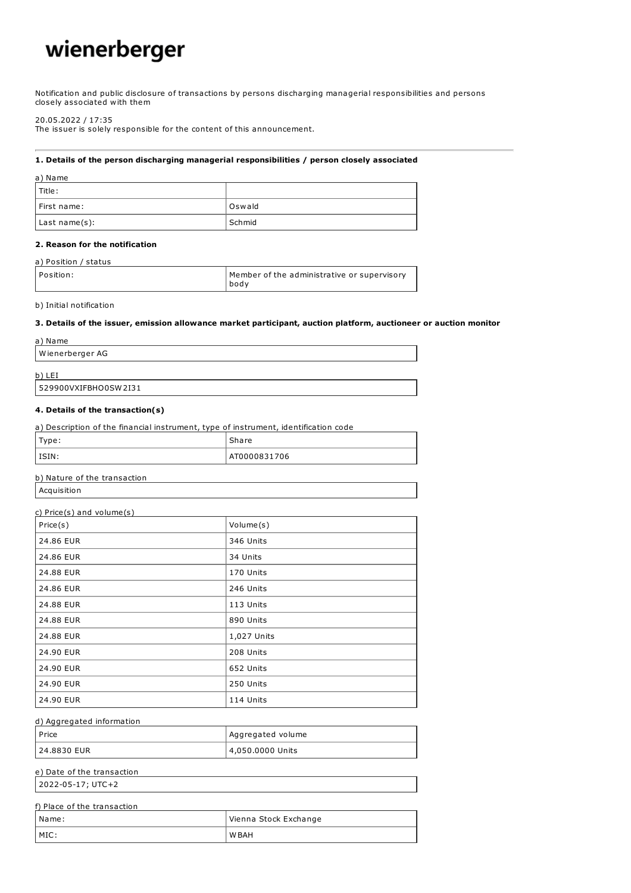# wienerberger

Notification and public disclosure of transactions by persons discharging managerial responsibilities and persons closely associated with them

#### 20.05.2022 / 17:35

The issuer is solely responsible for the content of this announcement.

#### 1. Details of the person discharging managerial responsibilities / person closely associated

| a) Name       |        |
|---------------|--------|
| l Title :     |        |
| First name:   | Oswald |
| Last name(s): | Schmid |

#### 2. Reason for the notification

#### a) Position / status

| l Position: | Member of the administrative or supervisory<br>bodv |
|-------------|-----------------------------------------------------|
|-------------|-----------------------------------------------------|

b) Initial notification

#### 3. Details of the issuer, emission allowance market participant, auction platform, auctioneer or auction monitor

| Wienerberger AG |  |
|-----------------|--|
| $b)$ L<br>LEI   |  |

# 529900VXIFBHO0SW2I31

#### 4. Details of the transaction(s)

| a) Description of the financial instrument, type of instrument, identification code |              |
|-------------------------------------------------------------------------------------|--------------|
| Type:                                                                               | Share        |
| $ $ ISIN:                                                                           | AT0000831706 |

#### b) Nature of the transaction

| Acquisition |
|-------------|
|             |

## c) Price(s) and volume(s)

| Price(s)  | Volume(s)   |
|-----------|-------------|
| 24.86 EUR | 346 Units   |
| 24.86 EUR | 34 Units    |
| 24.88 EUR | 170 Units   |
| 24.86 EUR | 246 Units   |
| 24.88 EUR | 113 Units   |
| 24.88 EUR | 890 Units   |
| 24.88 EUR | 1,027 Units |
| 24.90 EUR | 208 Units   |
| 24.90 EUR | 652 Units   |
| 24.90 EUR | 250 Units   |
| 24.90 EUR | 114 Units   |

#### d) Aggregated information

| l Price     | Aggregated volume |
|-------------|-------------------|
| 24.8830 EUR | 4,050.0000 Units  |

# e) Date of the transaction

2022-05-17; UTC+2

| f) Place of the transaction |                       |
|-----------------------------|-----------------------|
| l Name:                     | Vienna Stock Exchange |
| MIC:                        | W BAH                 |